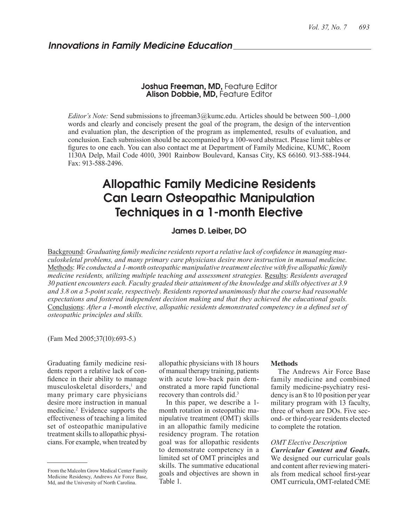# Joshua Freeman, MD, Feature Editor Alison Dobbie, MD, Feature Editor

*Editor's Note:* Send submissions to jfreeman3@kumc.edu. Articles should be between 500–1,000 words and clearly and concisely present the goal of the program, the design of the intervention and evaluation plan, the description of the program as implemented, results of evaluation, and conclusion. Each submission should be accompanied by a 100-word abstract. Please limit tables or figures to one each. You can also contact me at Department of Family Medicine, KUMC, Room 1130A Delp, Mail Code 4010, 3901 Rainbow Boulevard, Kansas City, KS 66160. 913-588-1944. Fax: 913-588-2496.

# Allopathic Family Medicine Residents Can Learn Osteopathic Manipulation Techniques in a 1-month Elective

# James D. Leiber, DO

Background: *Graduating family medicine residents report a relative lack of confidence in managing musculoskeletal problems, and many primary care physicians desire more instruction in manual medicine.*  Methods: *We conducted a 1-month osteopathic manipulative treatment elective with five allopathic family medicine residents, utilizing multiple teaching and assessment strategies.* Results: *Residents averaged 30 patient encounters each. Faculty graded their attainment of the knowledge and skills objectives at 3.9 and 3.8 on a 5-point scale, respectively. Residents reported unanimously that the course had reasonable expectations and fostered independent decision making and that they achieved the educational goals.*  Conclusions: *After a 1-month elective, allopathic residents demonstrated competency in a defined set of osteopathic principles and skills.*

(Fam Med 2005;37(10):693-5.)

Graduating family medicine residents report a relative lack of confidence in their ability to manage musculoskeletal disorders,<sup>1</sup> and many primary care physicians desire more instruction in manual medicine.<sup>2</sup> Evidence supports the effectiveness of teaching a limited set of osteopathic manipulative treatment skills to allopathic physicians. For example, when treated by

allopathic physicians with 18 hours of manual therapy training, patients with acute low-back pain demonstrated a more rapid functional recovery than controls did.3

In this paper, we describe a 1 month rotation in osteopathic manipulative treatment (OMT) skills in an allopathic family medicine residency program. The rotation goal was for allopathic residents to demonstrate competency in a limited set of OMT principles and skills. The summative educational goals and objectives are shown in Table 1.

#### **Methods**

The Andrews Air Force Base family medicine and combined family medicine-psychiatry residency is an 8 to 10 position per year military program with 13 faculty, three of whom are DOs. Five second- or third-year residents elected to complete the rotation.

#### *OMT Elective Description*

*Curricular Content and Goals.* We designed our curricular goals and content after reviewing materials from medical school first-year OMT curricula, OMT-related CME

From the Malcolm Grow Medical Center Family Medicine Residency, Andrews Air Force Base, Md, and the University of North Carolina.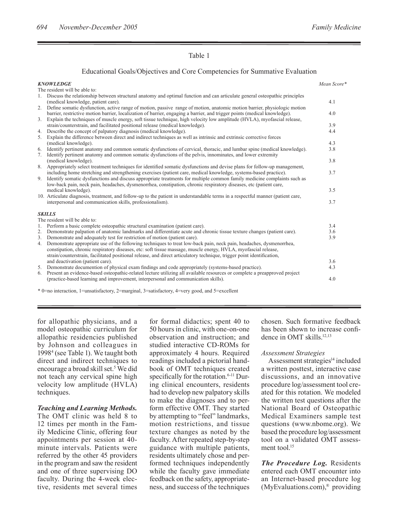# Table 1

# Educational Goals/Objectives and Core Competencies for Summative Evaluation

|          | <b>KNOWLEDGE</b>                                                                                                                                                                                                                                                                                                                                                                 | Mean Score* |
|----------|----------------------------------------------------------------------------------------------------------------------------------------------------------------------------------------------------------------------------------------------------------------------------------------------------------------------------------------------------------------------------------|-------------|
|          | The resident will be able to:                                                                                                                                                                                                                                                                                                                                                    |             |
|          | 1. Discuss the relationship between structural anatomy and optimal function and can articulate general osteopathic principles<br>(medical knowledge, patient care).                                                                                                                                                                                                              | 4.1         |
| 2.<br>3. | Define somatic dysfunction, active range of motion, passive range of motion, anatomic motion barrier, physiologic motion<br>barrier, restrictive motion barrier, localization of barrier, engaging a barrier, and trigger points (medical knowledge).<br>Explain the techniques of muscle energy, soft tissue technique, high velocity low amplitude (HVLA), myofascial release, | 4.0         |
|          | strain/counterstrain, and facilitated positional release (medical knowledge).                                                                                                                                                                                                                                                                                                    | 3.9         |
| 4.       | Describe the concept of palpatory diagnosis (medical knowledge).                                                                                                                                                                                                                                                                                                                 | 4.4         |
| 5.       | Explain the difference between direct and indirect techniques as well as intrinsic and extrinsic corrective forces<br>(medical knowledge).                                                                                                                                                                                                                                       | 4.3         |
| 6.       | Identify pertinent anatomy and common somatic dysfunctions of cervical, thoracic, and lumbar spine (medical knowledge).                                                                                                                                                                                                                                                          | 3.8         |
| 7.       | Identify pertinent anatomy and common somatic dysfunctions of the pelvis, innominates, and lower extremity                                                                                                                                                                                                                                                                       |             |
|          | (medical knowledge).                                                                                                                                                                                                                                                                                                                                                             | 3.8         |
| 8.<br>9. | Appropriately select treatment techniques for identified somatic dysfunctions and devise plans for follow-up management,<br>including home stretching and strengthening exercises (patient care, medical knowledge, systems-based practice).                                                                                                                                     | 3.7         |
|          | Identify somatic dysfunctions and discuss appropriate treatments for multiple common family medicine complaints such as<br>low-back pain, neck pain, headaches, dysmenorrhea, constipation, chronic respiratory diseases, etc (patient care,                                                                                                                                     |             |
|          | medical knowledge).                                                                                                                                                                                                                                                                                                                                                              | 3.5         |
|          | 10. Articulate diagnosis, treatment, and follow-up to the patient in understandable terms in a respectful manner (patient care,                                                                                                                                                                                                                                                  |             |
|          | interpersonal and communication skills, professionalism).                                                                                                                                                                                                                                                                                                                        | 3.7         |
|          | <b>SKILLS</b>                                                                                                                                                                                                                                                                                                                                                                    |             |
|          | The resident will be able to:                                                                                                                                                                                                                                                                                                                                                    | 3.4         |
| 1.<br>2. | Perform a basic complete osteopathic structural examination (patient care).<br>Demonstrate palpation of anatomic landmarks and differentiate acute and chronic tissue texture changes (patient care).                                                                                                                                                                            | 3.6         |
|          | 3. Demonstrate and adequately test for restriction of motion (patient care).                                                                                                                                                                                                                                                                                                     | 3.9         |
| 4.       | Demonstrate appropriate use of the following techniques to treat low-back pain, neck pain, headaches, dysmenorrhea,                                                                                                                                                                                                                                                              |             |
|          | constipation, chronic respiratory diseases, etc: soft tissue massage, muscle energy, HVLA, myofascial release,                                                                                                                                                                                                                                                                   |             |
|          | strain/counterstrain, facilitated positional release, and direct articulatory technique, trigger point identification,                                                                                                                                                                                                                                                           |             |
|          | and deactivation (patient care).                                                                                                                                                                                                                                                                                                                                                 | 3.6         |
|          | 5. Demonstrate documention of physical exam findings and code appropriately (systems-based practice).                                                                                                                                                                                                                                                                            | 4.3         |
|          | 6. Present an evidence-based osteopathic-related lecture utilizing all available resources or complete a preapproved project                                                                                                                                                                                                                                                     |             |
|          | (practice-based learning and improvement, interpersonal and communication skills).                                                                                                                                                                                                                                                                                               | 4.0         |

\* 0=no interaction, 1=unsatisfactory, 2=marginal, 3=satisfactory, 4=very good, and 5=excellent

for allopathic physicians, and a model osteopathic curriculum for allopathic residencies published by Johnson and colleagues in 19984 (see Table 1). We taught both direct and indirect techniques to encourage a broad skill set.<sup>5</sup> We did not teach any cervical spine high velocity low amplitude (HVLA) techniques.

### *Teaching and Learning Methods.*

The OMT clinic was held 8 to 12 times per month in the Family Medicine Clinic, offering four appointments per session at 40 minute intervals. Patients were referred by the other 45 providers in the program and saw the resident and one of three supervising DO faculty. During the 4-week elective, residents met several times for formal didactics; spent 40 to 50 hours in clinic, with one-on-one observation and instruction; and studied interactive CD-ROMs for approximately 4 hours. Required readings included a pictorial handbook of OMT techniques created specifically for the rotation.<sup>6-11</sup> During clinical encounters, residents had to develop new palpatory skills to make the diagnoses and to perform effective OMT. They started by attempting to "feel" landmarks, motion restrictions, and tissue texture changes as noted by the faculty. After repeated step-by-step guidance with multiple patients, residents ultimately chose and performed techniques independently while the faculty gave immediate feedback on the safety, appropriateness, and success of the techniques

chosen. Such formative feedback has been shown to increase confidence in OMT skills.<sup>12,13</sup>

### *Assessment Strategies*

Assessment strategies $<sup>14</sup>$  included</sup> a written posttest, interactive case discussions, and an innovative procedure log/assessment tool created for this rotation. We modeled the written test questions after the National Board of Osteopathic Medical Examiners sample test questions (www.nbome.org). We based the procedure log/assessment tool on a validated OMT assessment tool.<sup>15</sup>

*The Procedure Log.* Residents entered each OMT encounter into an Internet-based procedure log (MyEvaluations.com),® providing